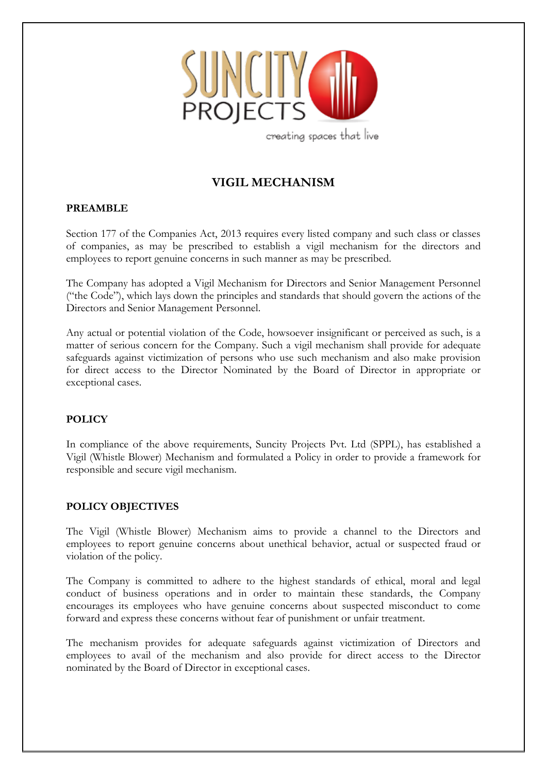

creating spaces that live

# **VIGIL MECHANISM**

#### **PREAMBLE**

Section 177 of the Companies Act, 2013 requires every listed company and such class or classes of companies, as may be prescribed to establish a vigil mechanism for the directors and employees to report genuine concerns in such manner as may be prescribed.

The Company has adopted a Vigil Mechanism for Directors and Senior Management Personnel ("the Code"), which lays down the principles and standards that should govern the actions of the Directors and Senior Management Personnel.

Any actual or potential violation of the Code, howsoever insignificant or perceived as such, is a matter of serious concern for the Company. Such a vigil mechanism shall provide for adequate safeguards against victimization of persons who use such mechanism and also make provision for direct access to the Director Nominated by the Board of Director in appropriate or exceptional cases.

#### **POLICY**

In compliance of the above requirements, Suncity Projects Pvt. Ltd (SPPL), has established a Vigil (Whistle Blower) Mechanism and formulated a Policy in order to provide a framework for responsible and secure vigil mechanism.

#### **POLICY OBJECTIVES**

The Vigil (Whistle Blower) Mechanism aims to provide a channel to the Directors and employees to report genuine concerns about unethical behavior, actual or suspected fraud or violation of the policy.

The Company is committed to adhere to the highest standards of ethical, moral and legal conduct of business operations and in order to maintain these standards, the Company encourages its employees who have genuine concerns about suspected misconduct to come forward and express these concerns without fear of punishment or unfair treatment.

The mechanism provides for adequate safeguards against victimization of Directors and employees to avail of the mechanism and also provide for direct access to the Director nominated by the Board of Director in exceptional cases.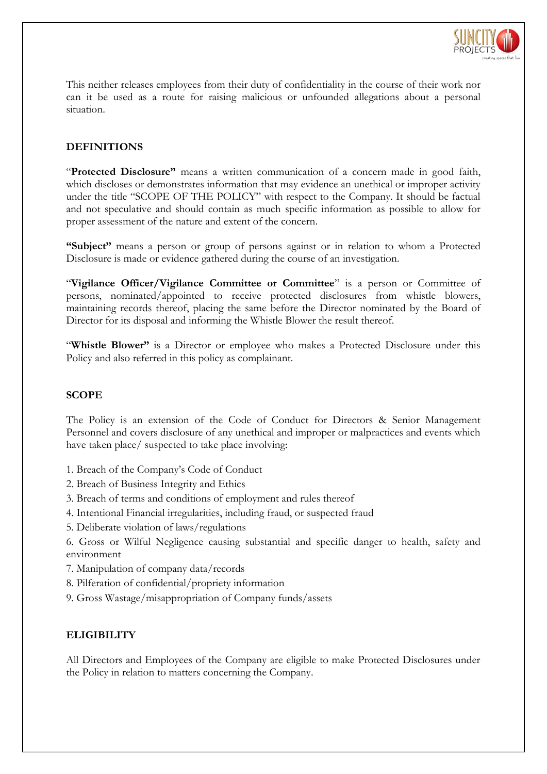

This neither releases employees from their duty of confidentiality in the course of their work nor can it be used as a route for raising malicious or unfounded allegations about a personal situation.

# **DEFINITIONS**

"**Protected Disclosure"** means a written communication of a concern made in good faith, which discloses or demonstrates information that may evidence an unethical or improper activity under the title "SCOPE OF THE POLICY" with respect to the Company. It should be factual and not speculative and should contain as much specific information as possible to allow for proper assessment of the nature and extent of the concern.

**"Subject"** means a person or group of persons against or in relation to whom a Protected Disclosure is made or evidence gathered during the course of an investigation.

"**Vigilance Officer/Vigilance Committee or Committee**" is a person or Committee of persons, nominated/appointed to receive protected disclosures from whistle blowers, maintaining records thereof, placing the same before the Director nominated by the Board of Director for its disposal and informing the Whistle Blower the result thereof.

"**Whistle Blower"** is a Director or employee who makes a Protected Disclosure under this Policy and also referred in this policy as complainant.

#### **SCOPE**

The Policy is an extension of the Code of Conduct for Directors & Senior Management Personnel and covers disclosure of any unethical and improper or malpractices and events which have taken place/ suspected to take place involving:

- 1. Breach of the Company's Code of Conduct
- 2. Breach of Business Integrity and Ethics
- 3. Breach of terms and conditions of employment and rules thereof
- 4. Intentional Financial irregularities, including fraud, or suspected fraud
- 5. Deliberate violation of laws/regulations

6. Gross or Wilful Negligence causing substantial and specific danger to health, safety and environment

- 7. Manipulation of company data/records
- 8. Pilferation of confidential/propriety information
- 9. Gross Wastage/misappropriation of Company funds/assets

#### **ELIGIBILITY**

All Directors and Employees of the Company are eligible to make Protected Disclosures under the Policy in relation to matters concerning the Company.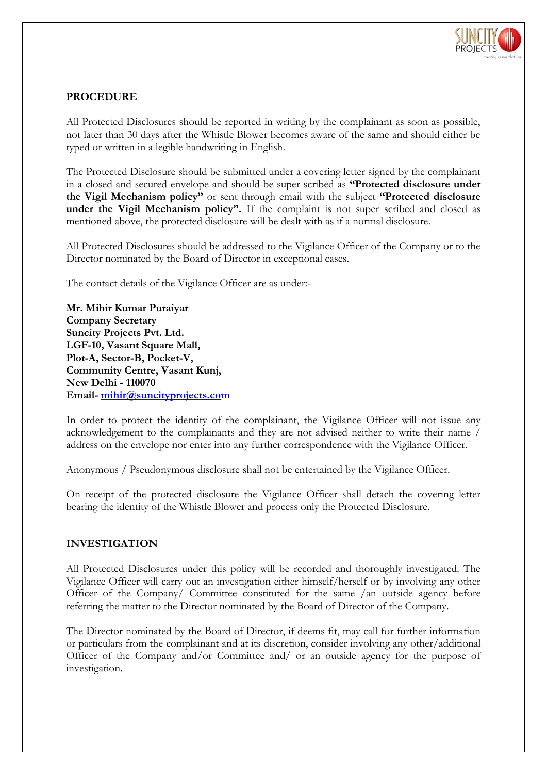

# **PROCEDURE**

All Protected Disclosures should be reported in writing by the complainant as soon as possible, not later than 30 days after the Whistle Blower becomes aware of the same and should either be typed or written in a legible handwriting in English.

The Protected Disclosure should be submitted under a covering letter signed by the complainant in a closed and secured envelope and should be super scribed as **"Protected disclosure under the Vigil Mechanism policy"** or sent through email with the subject **"Protected disclosure under the Vigil Mechanism policy".** If the complaint is not super scribed and closed as mentioned above, the protected disclosure will be dealt with as if a normal disclosure.

All Protected Disclosures should be addressed to the Vigilance Officer of the Company or to the Director nominated by the Board of Director in exceptional cases.

The contact details of the Vigilance Officer are as under:-

**Mr. Mihir Kumar Puraiyar Company Secretary Suncity Projects Pvt. Ltd. LGF-10, Vasant Square Mall, Plot-A, Sector-B, Pocket-V, Community Centre, Vasant Kunj, New Delhi - 110070 Email- [mihir@suncityprojects.com](mailto:mihir@suncityprojects.co)** 

In order to protect the identity of the complainant, the Vigilance Officer will not issue any acknowledgement to the complainants and they are not advised neither to write their name / address on the envelope nor enter into any further correspondence with the Vigilance Officer.

Anonymous / Pseudonymous disclosure shall not be entertained by the Vigilance Officer.

On receipt of the protected disclosure the Vigilance Officer shall detach the covering letter bearing the identity of the Whistle Blower and process only the Protected Disclosure.

#### **INVESTIGATION**

All Protected Disclosures under this policy will be recorded and thoroughly investigated. The Vigilance Officer will carry out an investigation either himself/herself or by involving any other Officer of the Company/ Committee constituted for the same /an outside agency before referring the matter to the Director nominated by the Board of Director of the Company.

The Director nominated by the Board of Director, if deems fit, may call for further information or particulars from the complainant and at its discretion, consider involving any other/additional Officer of the Company and/or Committee and/ or an outside agency for the purpose of investigation.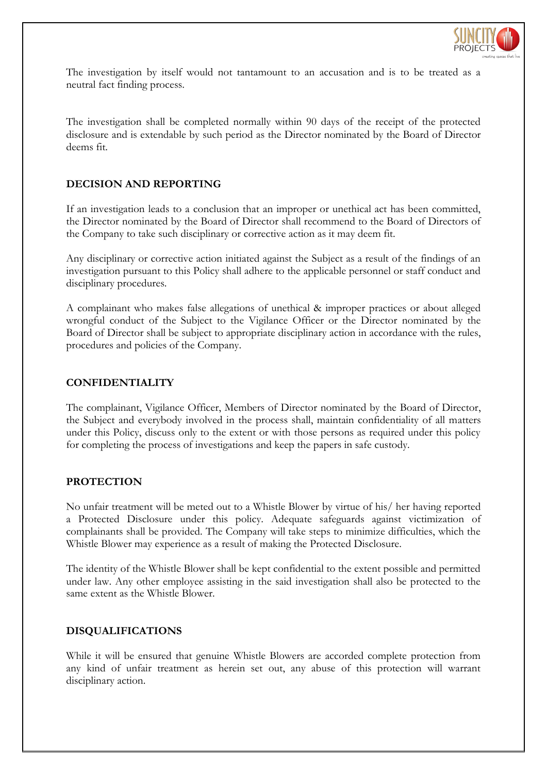

The investigation by itself would not tantamount to an accusation and is to be treated as a neutral fact finding process.

The investigation shall be completed normally within 90 days of the receipt of the protected disclosure and is extendable by such period as the Director nominated by the Board of Director deems fit.

#### **DECISION AND REPORTING**

If an investigation leads to a conclusion that an improper or unethical act has been committed, the Director nominated by the Board of Director shall recommend to the Board of Directors of the Company to take such disciplinary or corrective action as it may deem fit.

Any disciplinary or corrective action initiated against the Subject as a result of the findings of an investigation pursuant to this Policy shall adhere to the applicable personnel or staff conduct and disciplinary procedures.

A complainant who makes false allegations of unethical & improper practices or about alleged wrongful conduct of the Subject to the Vigilance Officer or the Director nominated by the Board of Director shall be subject to appropriate disciplinary action in accordance with the rules, procedures and policies of the Company.

#### **CONFIDENTIALITY**

The complainant, Vigilance Officer, Members of Director nominated by the Board of Director, the Subject and everybody involved in the process shall, maintain confidentiality of all matters under this Policy, discuss only to the extent or with those persons as required under this policy for completing the process of investigations and keep the papers in safe custody.

#### **PROTECTION**

No unfair treatment will be meted out to a Whistle Blower by virtue of his/ her having reported a Protected Disclosure under this policy. Adequate safeguards against victimization of complainants shall be provided. The Company will take steps to minimize difficulties, which the Whistle Blower may experience as a result of making the Protected Disclosure.

The identity of the Whistle Blower shall be kept confidential to the extent possible and permitted under law. Any other employee assisting in the said investigation shall also be protected to the same extent as the Whistle Blower.

#### **DISQUALIFICATIONS**

While it will be ensured that genuine Whistle Blowers are accorded complete protection from any kind of unfair treatment as herein set out, any abuse of this protection will warrant disciplinary action.